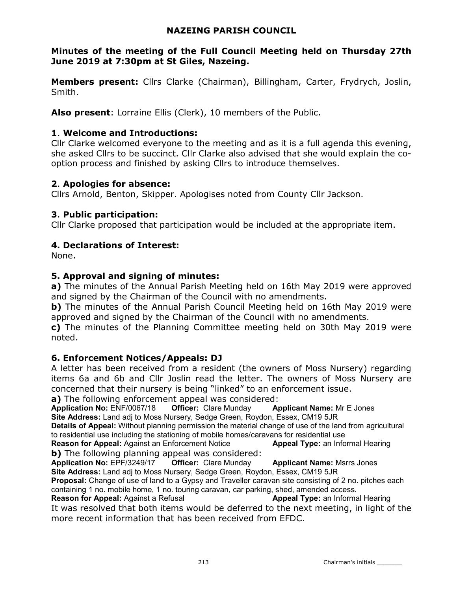#### NAZEING PARISH COUNCIL

# Minutes of the meeting of the Full Council Meeting held on Thursday 27th June 2019 at 7:30pm at St Giles, Nazeing.

Members present: Cllrs Clarke (Chairman), Billingham, Carter, Frydrych, Joslin, Smith.

Also present: Lorraine Ellis (Clerk), 10 members of the Public.

#### 1. Welcome and Introductions:

Cllr Clarke welcomed everyone to the meeting and as it is a full agenda this evening, she asked Cllrs to be succinct. Cllr Clarke also advised that she would explain the cooption process and finished by asking Cllrs to introduce themselves.

#### 2. Apologies for absence:

Cllrs Arnold, Benton, Skipper. Apologises noted from County Cllr Jackson.

#### 3. Public participation:

Cllr Clarke proposed that participation would be included at the appropriate item.

## 4. Declarations of Interest:

None.

#### 5. Approval and signing of minutes:

a) The minutes of the Annual Parish Meeting held on 16th May 2019 were approved and signed by the Chairman of the Council with no amendments.

b) The minutes of the Annual Parish Council Meeting held on 16th May 2019 were approved and signed by the Chairman of the Council with no amendments.

c) The minutes of the Planning Committee meeting held on 30th May 2019 were noted.

#### 6. Enforcement Notices/Appeals: DJ

A letter has been received from a resident (the owners of Moss Nursery) regarding items 6a and 6b and Cllr Joslin read the letter. The owners of Moss Nursery are concerned that their nursery is being "linked" to an enforcement issue.

a) The following enforcement appeal was considered:

Application No: ENF/0067/18 Officer: Clare Munday Applicant Name: Mr E Jones Site Address: Land adj to Moss Nursery, Sedge Green, Roydon, Essex, CM19 5JR

Details of Appeal: Without planning permission the material change of use of the land from agricultural to residential use including the stationing of mobile homes/caravans for residential use<br> **Reason for Appeal:** Against an Enforcement Notice **Appeal Type:** an Informal Hearing

Reason for Appeal: Against an Enforcement Notice b) The following planning appeal was considered:

Application No: EPF/3249/17 Officer: Clare Munday Applicant Name: Msrrs Jones Site Address: Land adj to Moss Nursery, Sedge Green, Roydon, Essex, CM19 5JR

Proposal: Change of use of land to a Gypsy and Traveller caravan site consisting of 2 no. pitches each containing 1 no. mobile home, 1 no. touring caravan, car parking, shed, amended access.

**Reason for Appeal:** Against a Refusal Alleman Appeal Type: an Informal Hearing It was resolved that both items would be deferred to the next meeting, in light of the more recent information that has been received from EFDC.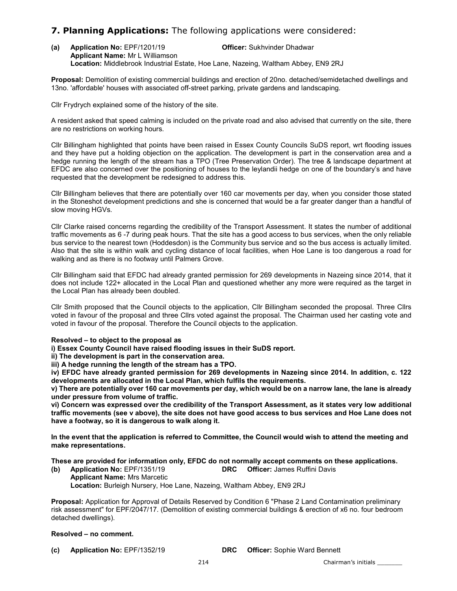#### **7. Planning Applications:** The following applications were considered:

(a) Application No: EPF/1201/19 Officer: Sukhvinder Dhadwar Applicant Name: Mr L Williamson Location: Middlebrook Industrial Estate, Hoe Lane, Nazeing, Waltham Abbey, EN9 2RJ

Proposal: Demolition of existing commercial buildings and erection of 20no. detached/semidetached dwellings and 13no. 'affordable' houses with associated off-street parking, private gardens and landscaping.

Cllr Frydrych explained some of the history of the site.

A resident asked that speed calming is included on the private road and also advised that currently on the site, there are no restrictions on working hours.

Cllr Billingham highlighted that points have been raised in Essex County Councils SuDS report, wrt flooding issues and they have put a holding objection on the application. The development is part in the conservation area and a hedge running the length of the stream has a TPO (Tree Preservation Order). The tree & landscape department at EFDC are also concerned over the positioning of houses to the leylandii hedge on one of the boundary's and have requested that the development be redesigned to address this.

Cllr Billingham believes that there are potentially over 160 car movements per day, when you consider those stated in the Stoneshot development predictions and she is concerned that would be a far greater danger than a handful of slow moving HGVs.

Cllr Clarke raised concerns regarding the credibility of the Transport Assessment. It states the number of additional traffic movements as 6 -7 during peak hours. That the site has a good access to bus services, when the only reliable bus service to the nearest town (Hoddesdon) is the Community bus service and so the bus access is actually limited. Also that the site is within walk and cycling distance of local facilities, when Hoe Lane is too dangerous a road for walking and as there is no footway until Palmers Grove.

Cllr Billingham said that EFDC had already granted permission for 269 developments in Nazeing since 2014, that it does not include 122+ allocated in the Local Plan and questioned whether any more were required as the target in the Local Plan has already been doubled.

Cllr Smith proposed that the Council objects to the application, Cllr Billingham seconded the proposal. Three Cllrs voted in favour of the proposal and three Cllrs voted against the proposal. The Chairman used her casting vote and voted in favour of the proposal. Therefore the Council objects to the application.

#### Resolved – to object to the proposal as

i) Essex County Council have raised flooding issues in their SuDS report.

ii) The development is part in the conservation area.

iii) A hedge running the length of the stream has a TPO.

iv) EFDC have already granted permission for 269 developments in Nazeing since 2014. In addition, c. 122 developments are allocated in the Local Plan, which fulfils the requirements.

v) There are potentially over 160 car movements per day, which would be on a narrow lane, the lane is already under pressure from volume of traffic.

vi) Concern was expressed over the credibility of the Transport Assessment, as it states very low additional traffic movements (see v above), the site does not have good access to bus services and Hoe Lane does not have a footway, so it is dangerous to walk along it.

In the event that the application is referred to Committee, the Council would wish to attend the meeting and make representations.

These are provided for information only, EFDC do not normally accept comments on these applications.

(b) Application No: EPF/1351/19 DRC Officer: James Ruffini Davis Applicant Name: Mrs Marcetic Location: Burleigh Nursery, Hoe Lane, Nazeing, Waltham Abbey, EN9 2RJ

Proposal: Application for Approval of Details Reserved by Condition 6 "Phase 2 Land Contamination preliminary risk assessment" for EPF/2047/17. (Demolition of existing commercial buildings & erection of x6 no. four bedroom detached dwellings).

#### Resolved – no comment.

(c) Application No: EPF/1352/19 DRC Officer: Sophie Ward Bennett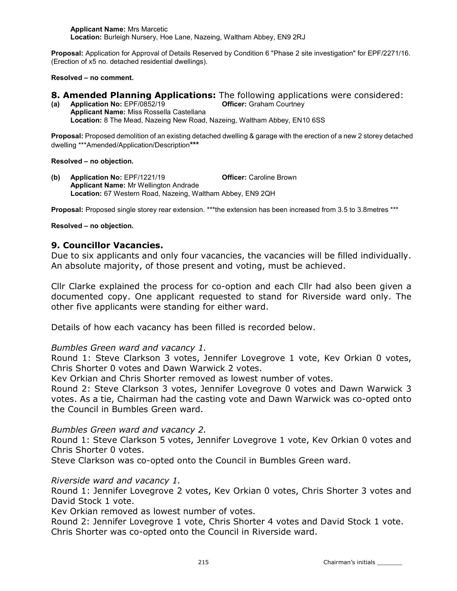Applicant Name: Mrs Marcetic Location: Burleigh Nursery, Hoe Lane, Nazeing, Waltham Abbey, EN9 2RJ

Proposal: Application for Approval of Details Reserved by Condition 6 "Phase 2 site investigation" for EPF/2271/16. (Erection of x5 no. detached residential dwellings).

Resolved – no comment.

#### **8. Amended Planning Applications:** The following applications were considered:

(a) Application No: EPF/0852/19 Officer: Graham Courtney Applicant Name: Miss Rossella Castellana Location: 8 The Mead, Nazeing New Road, Nazeing, Waltham Abbey, EN10 6SS

Proposal: Proposed demolition of an existing detached dwelling & garage with the erection of a new 2 storey detached dwelling \*\*\*Amended/Application/Description\*\*\*

#### Resolved – no objection.

(b) Application No: EPF/1221/19 Officer: Caroline Brown Applicant Name: Mr Wellington Andrade Location: 67 Western Road, Nazeing, Waltham Abbey, EN9 2QH

Proposal: Proposed single storey rear extension. \*\*\*the extension has been increased from 3.5 to 3.8metres \*\*\*

#### Resolved – no objection.

#### 9. Councillor Vacancies.

Due to six applicants and only four vacancies, the vacancies will be filled individually. An absolute majority, of those present and voting, must be achieved.

Cllr Clarke explained the process for co-option and each Cllr had also been given a documented copy. One applicant requested to stand for Riverside ward only. The other five applicants were standing for either ward.

Details of how each vacancy has been filled is recorded below.

#### Bumbles Green ward and vacancy 1.

Round 1: Steve Clarkson 3 votes, Jennifer Lovegrove 1 vote, Kev Orkian 0 votes, Chris Shorter 0 votes and Dawn Warwick 2 votes.

Kev Orkian and Chris Shorter removed as lowest number of votes.

Round 2: Steve Clarkson 3 votes, Jennifer Lovegrove 0 votes and Dawn Warwick 3 votes. As a tie, Chairman had the casting vote and Dawn Warwick was co-opted onto the Council in Bumbles Green ward.

#### Bumbles Green ward and vacancy 2.

Round 1: Steve Clarkson 5 votes, Jennifer Lovegrove 1 vote, Kev Orkian 0 votes and Chris Shorter 0 votes.

Steve Clarkson was co-opted onto the Council in Bumbles Green ward.

#### Riverside ward and vacancy 1.

Round 1: Jennifer Lovegrove 2 votes, Kev Orkian 0 votes, Chris Shorter 3 votes and David Stock 1 vote.

Kev Orkian removed as lowest number of votes.

Round 2: Jennifer Lovegrove 1 vote, Chris Shorter 4 votes and David Stock 1 vote. Chris Shorter was co-opted onto the Council in Riverside ward.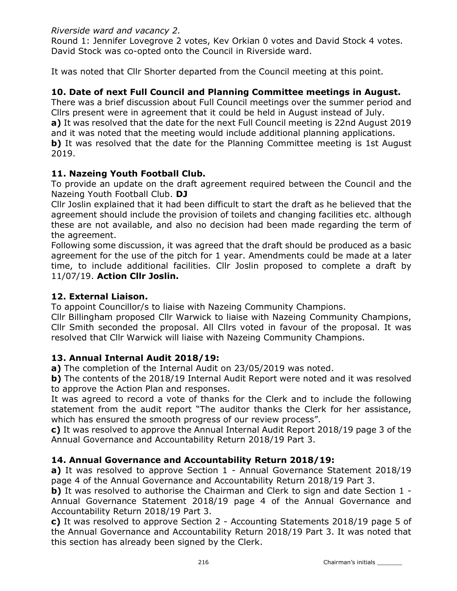## Riverside ward and vacancy 2.

Round 1: Jennifer Lovegrove 2 votes, Kev Orkian 0 votes and David Stock 4 votes. David Stock was co-opted onto the Council in Riverside ward.

It was noted that Cllr Shorter departed from the Council meeting at this point.

## 10. Date of next Full Council and Planning Committee meetings in August.

There was a brief discussion about Full Council meetings over the summer period and Cllrs present were in agreement that it could be held in August instead of July. a) It was resolved that the date for the next Full Council meeting is 22nd August 2019 and it was noted that the meeting would include additional planning applications. b) It was resolved that the date for the Planning Committee meeting is 1st August 2019.

#### 11. Nazeing Youth Football Club.

To provide an update on the draft agreement required between the Council and the Nazeing Youth Football Club. DJ

Cllr Joslin explained that it had been difficult to start the draft as he believed that the agreement should include the provision of toilets and changing facilities etc. although these are not available, and also no decision had been made regarding the term of the agreement.

Following some discussion, it was agreed that the draft should be produced as a basic agreement for the use of the pitch for 1 year. Amendments could be made at a later time, to include additional facilities. Cllr Joslin proposed to complete a draft by 11/07/19. Action Cllr Joslin.

#### 12. External Liaison.

To appoint Councillor/s to liaise with Nazeing Community Champions.

Cllr Billingham proposed Cllr Warwick to liaise with Nazeing Community Champions, Cllr Smith seconded the proposal. All Cllrs voted in favour of the proposal. It was resolved that Cllr Warwick will liaise with Nazeing Community Champions.

# 13. Annual Internal Audit 2018/19:

a) The completion of the Internal Audit on 23/05/2019 was noted.

b) The contents of the 2018/19 Internal Audit Report were noted and it was resolved to approve the Action Plan and responses.

It was agreed to record a vote of thanks for the Clerk and to include the following statement from the audit report "The auditor thanks the Clerk for her assistance, which has ensured the smooth progress of our review process".

c) It was resolved to approve the Annual Internal Audit Report 2018/19 page 3 of the Annual Governance and Accountability Return 2018/19 Part 3.

# 14. Annual Governance and Accountability Return 2018/19:

a) It was resolved to approve Section 1 - Annual Governance Statement 2018/19 page 4 of the Annual Governance and Accountability Return 2018/19 Part 3.

b) It was resolved to authorise the Chairman and Clerk to sign and date Section 1 -Annual Governance Statement 2018/19 page 4 of the Annual Governance and Accountability Return 2018/19 Part 3.

c) It was resolved to approve Section 2 - Accounting Statements 2018/19 page 5 of the Annual Governance and Accountability Return 2018/19 Part 3. It was noted that this section has already been signed by the Clerk.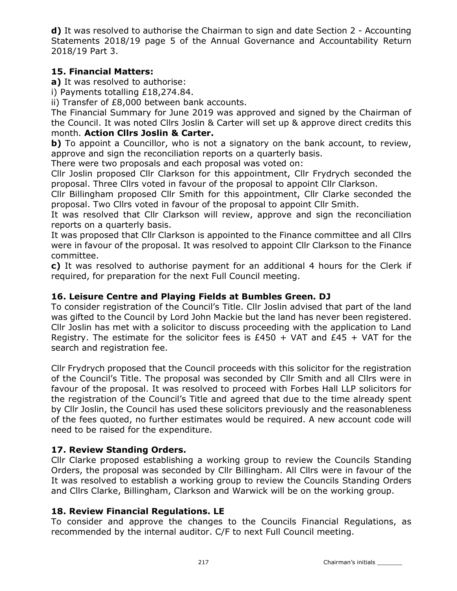d) It was resolved to authorise the Chairman to sign and date Section 2 - Accounting Statements 2018/19 page 5 of the Annual Governance and Accountability Return 2018/19 Part 3.

# 15. Financial Matters:

a) It was resolved to authorise:

i) Payments totalling £18,274.84.

ii) Transfer of £8,000 between bank accounts.

The Financial Summary for June 2019 was approved and signed by the Chairman of the Council. It was noted Cllrs Joslin & Carter will set up & approve direct credits this month. Action Cllrs Joslin & Carter.

b) To appoint a Councillor, who is not a signatory on the bank account, to review, approve and sign the reconciliation reports on a quarterly basis.

There were two proposals and each proposal was voted on:

Cllr Joslin proposed Cllr Clarkson for this appointment, Cllr Frydrych seconded the proposal. Three Cllrs voted in favour of the proposal to appoint Cllr Clarkson.

Cllr Billingham proposed Cllr Smith for this appointment, Cllr Clarke seconded the proposal. Two Cllrs voted in favour of the proposal to appoint Cllr Smith.

It was resolved that Cllr Clarkson will review, approve and sign the reconciliation reports on a quarterly basis.

It was proposed that Cllr Clarkson is appointed to the Finance committee and all Cllrs were in favour of the proposal. It was resolved to appoint Cllr Clarkson to the Finance committee.

c) It was resolved to authorise payment for an additional 4 hours for the Clerk if required, for preparation for the next Full Council meeting.

# 16. Leisure Centre and Playing Fields at Bumbles Green. DJ

To consider registration of the Council's Title. Cllr Joslin advised that part of the land was gifted to the Council by Lord John Mackie but the land has never been registered. Cllr Joslin has met with a solicitor to discuss proceeding with the application to Land Registry. The estimate for the solicitor fees is  $£450 + VAT$  and  $£45 + VAT$  for the search and registration fee.

Cllr Frydrych proposed that the Council proceeds with this solicitor for the registration of the Council's Title. The proposal was seconded by Cllr Smith and all Cllrs were in favour of the proposal. It was resolved to proceed with Forbes Hall LLP solicitors for the registration of the Council's Title and agreed that due to the time already spent by Cllr Joslin, the Council has used these solicitors previously and the reasonableness of the fees quoted, no further estimates would be required. A new account code will need to be raised for the expenditure.

# 17. Review Standing Orders.

Cllr Clarke proposed establishing a working group to review the Councils Standing Orders, the proposal was seconded by Cllr Billingham. All Cllrs were in favour of the It was resolved to establish a working group to review the Councils Standing Orders and Cllrs Clarke, Billingham, Clarkson and Warwick will be on the working group.

# 18. Review Financial Regulations. LE

To consider and approve the changes to the Councils Financial Regulations, as recommended by the internal auditor. C/F to next Full Council meeting.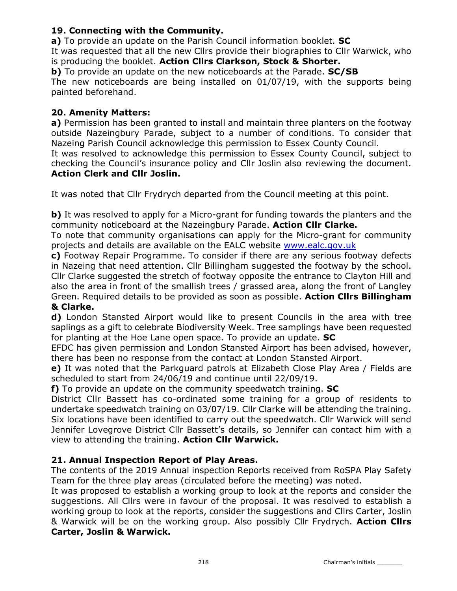# 19. Connecting with the Community.

a) To provide an update on the Parish Council information booklet. SC It was requested that all the new Cllrs provide their biographies to Cllr Warwick, who is producing the booklet. Action Cllrs Clarkson, Stock & Shorter. b) To provide an update on the new noticeboards at the Parade. **SC/SB** The new noticeboards are being installed on 01/07/19, with the supports being painted beforehand.

#### 20. Amenity Matters:

a) Permission has been granted to install and maintain three planters on the footway outside Nazeingbury Parade, subject to a number of conditions. To consider that Nazeing Parish Council acknowledge this permission to Essex County Council.

It was resolved to acknowledge this permission to Essex County Council, subject to checking the Council's insurance policy and Cllr Joslin also reviewing the document. Action Clerk and Cllr Joslin.

It was noted that Cllr Frydrych departed from the Council meeting at this point.

b) It was resolved to apply for a Micro-grant for funding towards the planters and the community noticeboard at the Nazeingbury Parade. Action Cllr Clarke.

To note that community organisations can apply for the Micro-grant for community projects and details are available on the EALC website www.ealc.gov.uk

c) Footway Repair Programme. To consider if there are any serious footway defects in Nazeing that need attention. Cllr Billingham suggested the footway by the school. Cllr Clarke suggested the stretch of footway opposite the entrance to Clayton Hill and also the area in front of the smallish trees / grassed area, along the front of Langley Green. Required details to be provided as soon as possible. Action Cllrs Billingham & Clarke.

d) London Stansted Airport would like to present Councils in the area with tree saplings as a gift to celebrate Biodiversity Week. Tree samplings have been requested for planting at the Hoe Lane open space. To provide an update. **SC** 

EFDC has given permission and London Stansted Airport has been advised, however, there has been no response from the contact at London Stansted Airport.

e) It was noted that the Parkguard patrols at Elizabeth Close Play Area / Fields are scheduled to start from 24/06/19 and continue until 22/09/19.

f) To provide an update on the community speedwatch training. **SC** 

District Cllr Bassett has co-ordinated some training for a group of residents to undertake speedwatch training on 03/07/19. Cllr Clarke will be attending the training. Six locations have been identified to carry out the speedwatch. Cllr Warwick will send Jennifer Lovegrove District Cllr Bassett's details, so Jennifer can contact him with a view to attending the training. Action Cllr Warwick.

#### 21. Annual Inspection Report of Play Areas.

The contents of the 2019 Annual inspection Reports received from RoSPA Play Safety Team for the three play areas (circulated before the meeting) was noted.

It was proposed to establish a working group to look at the reports and consider the suggestions. All Cllrs were in favour of the proposal. It was resolved to establish a working group to look at the reports, consider the suggestions and Cllrs Carter, Joslin & Warwick will be on the working group. Also possibly Cllr Frydrych. Action Cllrs Carter, Joslin & Warwick.